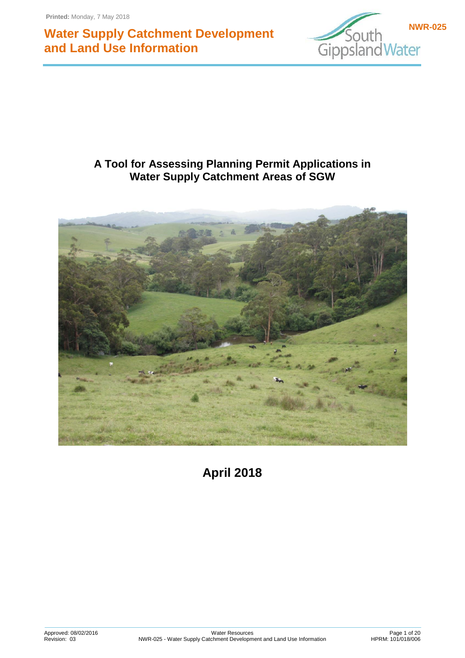

## **A Tool for Assessing Planning Permit Applications in Water Supply Catchment Areas of SGW**



**April 2018**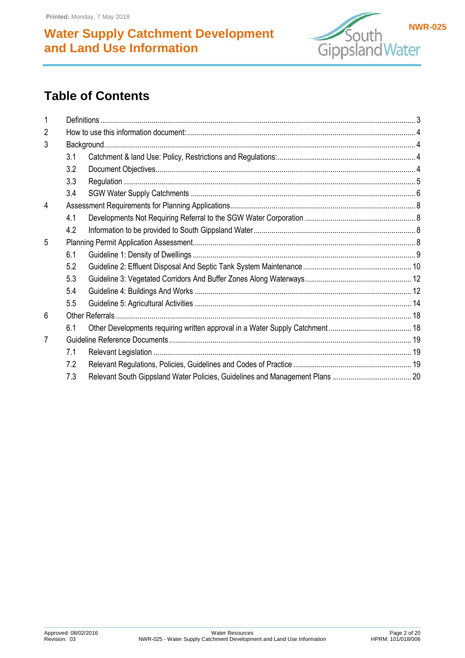

# **Table of Contents**

| $\overline{2}$ |     |  |  |  |
|----------------|-----|--|--|--|
| 3              |     |  |  |  |
|                | 3.1 |  |  |  |
|                | 3.2 |  |  |  |
|                | 3.3 |  |  |  |
|                | 3.4 |  |  |  |
| 4              |     |  |  |  |
|                | 4.1 |  |  |  |
|                | 4.2 |  |  |  |
| 5              |     |  |  |  |
|                | 6.1 |  |  |  |
|                | 5.2 |  |  |  |
|                | 5.3 |  |  |  |
|                | 5.4 |  |  |  |
|                | 5.5 |  |  |  |
| 6              |     |  |  |  |
|                | 6.1 |  |  |  |
|                |     |  |  |  |
|                | 7.1 |  |  |  |
|                | 7.2 |  |  |  |
|                | 7.3 |  |  |  |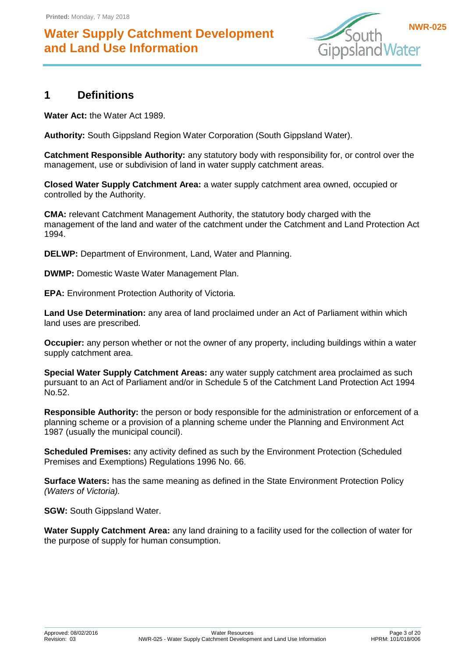

### <span id="page-2-0"></span>**1 Definitions**

**Water Act:** the Water Act 1989.

**Authority:** South Gippsland Region Water Corporation (South Gippsland Water).

**Catchment Responsible Authority:** any statutory body with responsibility for, or control over the management, use or subdivision of land in water supply catchment areas.

**Closed Water Supply Catchment Area:** a water supply catchment area owned, occupied or controlled by the Authority.

**CMA:** relevant Catchment Management Authority, the statutory body charged with the management of the land and water of the catchment under the Catchment and Land Protection Act 1994.

**DELWP:** Department of Environment, Land, Water and Planning.

**DWMP:** Domestic Waste Water Management Plan.

**EPA:** Environment Protection Authority of Victoria.

**Land Use Determination:** any area of land proclaimed under an Act of Parliament within which land uses are prescribed.

**Occupier:** any person whether or not the owner of any property, including buildings within a water supply catchment area.

**Special Water Supply Catchment Areas:** any water supply catchment area proclaimed as such pursuant to an Act of Parliament and/or in Schedule 5 of the Catchment Land Protection Act 1994 No.52.

**Responsible Authority:** the person or body responsible for the administration or enforcement of a planning scheme or a provision of a planning scheme under the Planning and Environment Act 1987 (usually the municipal council).

**Scheduled Premises:** any activity defined as such by the Environment Protection (Scheduled Premises and Exemptions) Regulations 1996 No. 66.

**Surface Waters:** has the same meaning as defined in the State Environment Protection Policy *(Waters of Victoria).*

**SGW:** South Gippsland Water.

**Water Supply Catchment Area:** any land draining to a facility used for the collection of water for the purpose of supply for human consumption.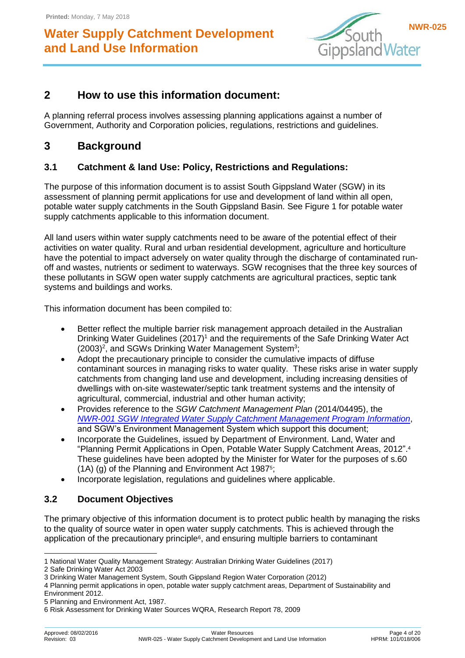

### <span id="page-3-0"></span>**2 How to use this information document:**

A planning referral process involves assessing planning applications against a number of Government, Authority and Corporation policies, regulations, restrictions and guidelines.

### <span id="page-3-1"></span>**3 Background**

### <span id="page-3-2"></span>**3.1 Catchment & land Use: Policy, Restrictions and Regulations:**

The purpose of this information document is to assist South Gippsland Water (SGW) in its assessment of planning permit applications for use and development of land within all open, potable water supply catchments in the South Gippsland Basin. See Figure 1 for potable water supply catchments applicable to this information document.

All land users within water supply catchments need to be aware of the potential effect of their activities on water quality. Rural and urban residential development, agriculture and horticulture have the potential to impact adversely on water quality through the discharge of contaminated runoff and wastes, nutrients or sediment to waterways. SGW recognises that the three key sources of these pollutants in SGW open water supply catchments are agricultural practices, septic tank systems and buildings and works.

This information document has been compiled to:

- Better reflect the multiple barrier risk management approach detailed in the Australian Drinking Water Guidelines (2017)<sup>1</sup> and the requirements of the Safe Drinking Water Act  $(2003)^2$ , and SGWs Drinking Water Management System<sup>3</sup>;
- Adopt the precautionary principle to consider the cumulative impacts of diffuse contaminant sources in managing risks to water quality. These risks arise in water supply catchments from changing land use and development, including increasing densities of dwellings with on-site wastewater/septic tank treatment systems and the intensity of agricultural, commercial, industrial and other human activity;
- Provides reference to the *SGW Catchment Management Plan* (2014/04495), the *[NWR-001 SGW Integrated Water Supply Catchment Management Program](http://sv-web-01.sgwater.com.au/corp/corpdocs/qdohs/doc/doc505774.DOCX) Information*, and SGW's Environment Management System which support this document;
- Incorporate the Guidelines, issued by Department of Environment. Land, Water and "Planning Permit Applications in Open, Potable Water Supply Catchment Areas, 2012". 4 These guidelines have been adopted by the Minister for Water for the purposes of s.60 (1A) (g) of the Planning and Environment Act 1987<sup>5</sup> ;
- Incorporate legislation, regulations and guidelines where applicable.

### <span id="page-3-3"></span>**3.2 Document Objectives**

The primary objective of this information document is to protect public health by managing the risks to the quality of source water in open water supply catchments. This is achieved through the application of the precautionary principle<sup>6</sup>, and ensuring multiple barriers to contaminant

<sup>-</sup>1 National Water Quality Management Strategy: Australian Drinking Water Guidelines (2017)

<sup>2</sup> Safe Drinking Water Act 2003

<sup>3</sup> Drinking Water Management System, South Gippsland Region Water Corporation (2012)

<sup>4</sup> Planning permit applications in open, potable water supply catchment areas, Department of Sustainability and

Environment 2012.

<sup>5</sup> Planning and Environment Act, 1987.

<sup>6</sup> Risk Assessment for Drinking Water Sources WQRA, Research Report 78, 2009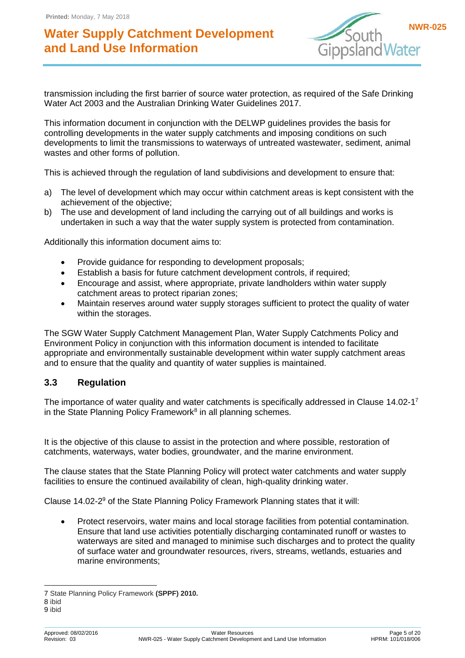

transmission including the first barrier of source water protection, as required of the Safe Drinking Water Act 2003 and the Australian Drinking Water Guidelines 2017.

This information document in conjunction with the DELWP guidelines provides the basis for controlling developments in the water supply catchments and imposing conditions on such developments to limit the transmissions to waterways of untreated wastewater, sediment, animal wastes and other forms of pollution.

This is achieved through the regulation of land subdivisions and development to ensure that:

- a) The level of development which may occur within catchment areas is kept consistent with the achievement of the objective;
- b) The use and development of land including the carrying out of all buildings and works is undertaken in such a way that the water supply system is protected from contamination.

Additionally this information document aims to:

- Provide guidance for responding to development proposals;
- Establish a basis for future catchment development controls, if required;
- Encourage and assist, where appropriate, private landholders within water supply catchment areas to protect riparian zones;
- Maintain reserves around water supply storages sufficient to protect the quality of water within the storages.

The SGW Water Supply Catchment Management Plan, Water Supply Catchments Policy and Environment Policy in conjunction with this information document is intended to facilitate appropriate and environmentally sustainable development within water supply catchment areas and to ensure that the quality and quantity of water supplies is maintained.

#### <span id="page-4-0"></span>**3.3 Regulation**

The importance of water quality and water catchments is specifically addressed in Clause 14.02-1<sup>7</sup> in the State Planning Policy Framework<sup>8</sup> in all planning schemes.

It is the objective of this clause to assist in the protection and where possible, restoration of catchments, waterways, water bodies, groundwater, and the marine environment.

The clause states that the State Planning Policy will protect water catchments and water supply facilities to ensure the continued availability of clean, high-quality drinking water.

Clause 14.02-2<sup>9</sup> of the State Planning Policy Framework Planning states that it will:

 Protect reservoirs, water mains and local storage facilities from potential contamination. Ensure that land use activities potentially discharging contaminated runoff or wastes to waterways are sited and managed to minimise such discharges and to protect the quality of surface water and groundwater resources, rivers, streams, wetlands, estuaries and marine environments;

<sup>-</sup>7 State Planning Policy Framework **(SPPF) 2010.**

<sup>8</sup> ibid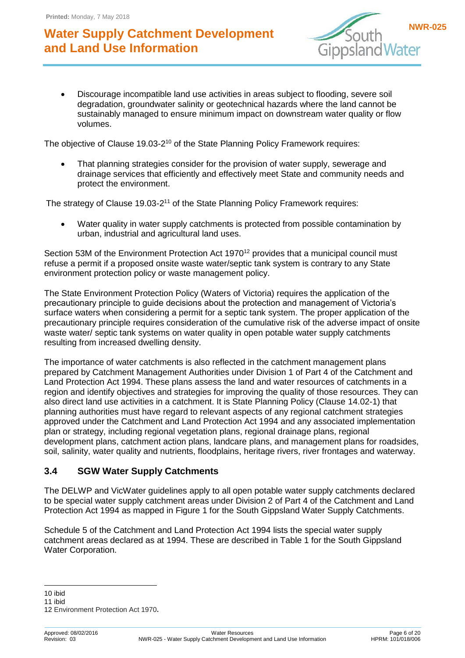

 Discourage incompatible land use activities in areas subject to flooding, severe soil degradation, groundwater salinity or geotechnical hazards where the land cannot be sustainably managed to ensure minimum impact on downstream water quality or flow volumes.

The objective of Clause 19.03-2<sup>10</sup> of the State Planning Policy Framework requires:

 That planning strategies consider for the provision of water supply, sewerage and drainage services that efficiently and effectively meet State and community needs and protect the environment.

The strategy of Clause 19.03-2<sup>11</sup> of the State Planning Policy Framework requires:

 Water quality in water supply catchments is protected from possible contamination by urban, industrial and agricultural land uses.

Section 53M of the Environment Protection Act 1970<sup>12</sup> provides that a municipal council must refuse a permit if a proposed onsite waste water/septic tank system is contrary to any State environment protection policy or waste management policy.

The State Environment Protection Policy (Waters of Victoria) requires the application of the precautionary principle to guide decisions about the protection and management of Victoria's surface waters when considering a permit for a septic tank system. The proper application of the precautionary principle requires consideration of the cumulative risk of the adverse impact of onsite waste water/ septic tank systems on water quality in open potable water supply catchments resulting from increased dwelling density.

The importance of water catchments is also reflected in the catchment management plans prepared by Catchment Management Authorities under Division 1 of Part 4 of the Catchment and Land Protection Act 1994. These plans assess the land and water resources of catchments in a region and identify objectives and strategies for improving the quality of those resources. They can also direct land use activities in a catchment. It is State Planning Policy (Clause 14.02-1) that planning authorities must have regard to relevant aspects of any regional catchment strategies approved under the Catchment and Land Protection Act 1994 and any associated implementation plan or strategy, including regional vegetation plans, regional drainage plans, regional development plans, catchment action plans, landcare plans, and management plans for roadsides, soil, salinity, water quality and nutrients, floodplains, heritage rivers, river frontages and waterway.

#### <span id="page-5-0"></span>**3.4 SGW Water Supply Catchments**

The DELWP and VicWater guidelines apply to all open potable water supply catchments declared to be special water supply catchment areas under Division 2 of Part 4 of the Catchment and Land Protection Act 1994 as mapped in Figure 1 for the South Gippsland Water Supply Catchments.

Schedule 5 of the Catchment and Land Protection Act 1994 lists the special water supply catchment areas declared as at 1994. These are described in Table 1 for the South Gippsland Water Corporation.

<sup>-</sup>10 ibid

<sup>11</sup> ibid

<sup>12</sup> Environment Protection Act 1970**.**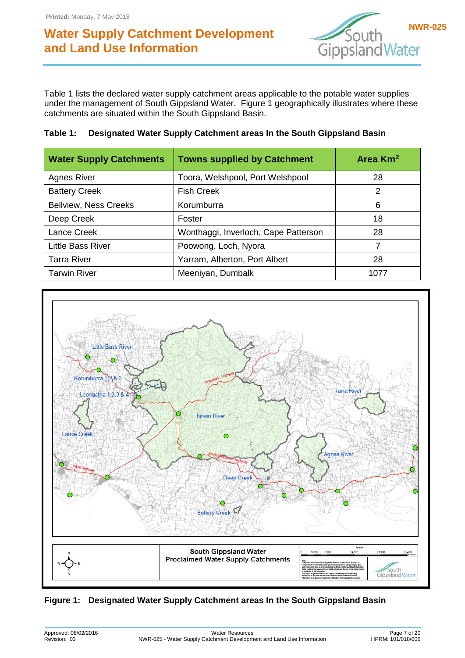

Table 1 lists the declared water supply catchment areas applicable to the potable water supplies under the management of South Gippsland Water. Figure 1 geographically illustrates where these catchments are situated within the South Gippsland Basin.

| Table 1: Designated Water Supply Catchment areas In the South Gippsland Basin |
|-------------------------------------------------------------------------------|
|                                                                               |

| <b>Water Supply Catchments</b> | <b>Towns supplied by Catchment</b>   | Area Km <sup>2</sup> |
|--------------------------------|--------------------------------------|----------------------|
| <b>Agnes River</b>             | Toora, Welshpool, Port Welshpool     | 28                   |
| <b>Battery Creek</b>           | <b>Fish Creek</b>                    | 2                    |
| <b>Bellview, Ness Creeks</b>   | Korumburra                           | 6                    |
| Deep Creek                     | Foster                               | 18                   |
| Lance Creek                    | Wonthaggi, Inverloch, Cape Patterson | 28                   |
| Little Bass River              | Poowong, Loch, Nyora                 | 7                    |
| <b>Tarra River</b>             | Yarram, Alberton, Port Albert        | 28                   |
| <b>Tarwin River</b>            | Meeniyan, Dumbalk                    | 1077                 |



**Figure 1: Designated Water Supply Catchment areas In the South Gippsland Basin**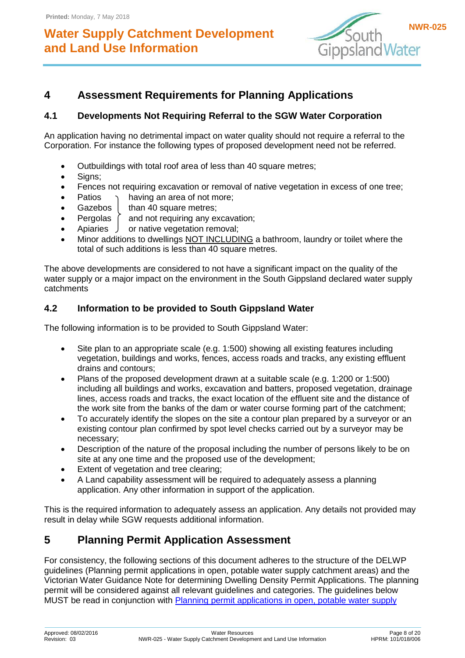![](_page_7_Picture_2.jpeg)

## <span id="page-7-0"></span>**4 Assessment Requirements for Planning Applications**

### <span id="page-7-1"></span>**4.1 Developments Not Requiring Referral to the SGW Water Corporation**

An application having no detrimental impact on water quality should not require a referral to the Corporation. For instance the following types of proposed development need not be referred.

- Outbuildings with total roof area of less than 40 square metres;
- Signs:
- Fences not requiring excavation or removal of native vegetation in excess of one tree;
- Patios  $\rightarrow$  having an area of not more;
- Gazebos  $\vert$  than 40 square metres;
- Pergolas  $\int$  and not requiring any excavation;
- Apiaries  $\int$  or native vegetation removal;
- Minor additions to dwellings NOT INCLUDING a bathroom, laundry or toilet where the total of such additions is less than 40 square metres.

The above developments are considered to not have a significant impact on the quality of the water supply or a major impact on the environment in the South Gippsland declared water supply catchments

### <span id="page-7-2"></span>**4.2 Information to be provided to South Gippsland Water**

The following information is to be provided to South Gippsland Water:

- Site plan to an appropriate scale (e.g. 1:500) showing all existing features including vegetation, buildings and works, fences, access roads and tracks, any existing effluent drains and contours;
- Plans of the proposed development drawn at a suitable scale (e.g. 1:200 or 1:500) including all buildings and works, excavation and batters, proposed vegetation, drainage lines, access roads and tracks, the exact location of the effluent site and the distance of the work site from the banks of the dam or water course forming part of the catchment;
- To accurately identify the slopes on the site a contour plan prepared by a surveyor or an existing contour plan confirmed by spot level checks carried out by a surveyor may be necessary;
- Description of the nature of the proposal including the number of persons likely to be on site at any one time and the proposed use of the development;
- Extent of vegetation and tree clearing;
- A Land capability assessment will be required to adequately assess a planning application. Any other information in support of the application.

This is the required information to adequately assess an application. Any details not provided may result in delay while SGW requests additional information.

### <span id="page-7-3"></span>**5 Planning Permit Application Assessment**

For consistency, the following sections of this document adheres to the structure of the DELWP guidelines (Planning permit applications in open, potable water supply catchment areas) and the Victorian Water Guidance Note for determining Dwelling Density Permit Applications. The planning permit will be considered against all relevant guidelines and categories. The guidelines below MUST be read in conjunction with [Planning permit applications in open, potable water supply](http://www.water.vic.gov.au/__data/assets/pdf_file/0017/150371/Potable-Water-Guidelines-November-2012.pdf)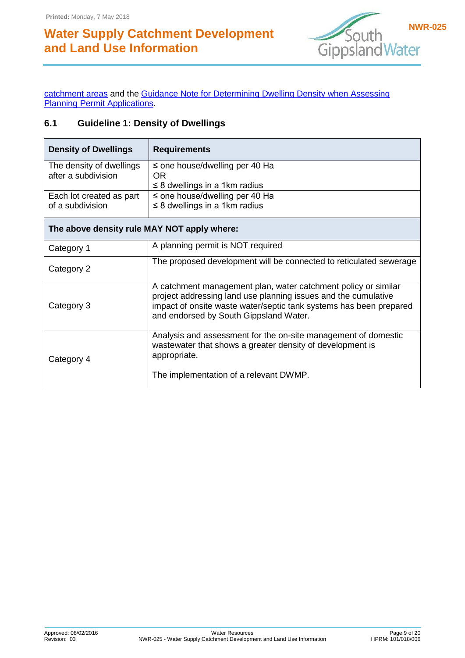![](_page_8_Picture_2.jpeg)

[catchment areas](http://www.water.vic.gov.au/__data/assets/pdf_file/0017/150371/Potable-Water-Guidelines-November-2012.pdf) and the [Guidance Note for Determining Dwelling Density when Assessing](http://www.vicwater.org.au/uploads/Publications/Guidance%20Note%20-%20Determining%20Dwelling%20Density%20-%20Final%20Feb%202013.PDF)  [Planning Permit Applications.](http://www.vicwater.org.au/uploads/Publications/Guidance%20Note%20-%20Determining%20Dwelling%20Density%20-%20Final%20Feb%202013.PDF)

### <span id="page-8-0"></span>**6.1 Guideline 1: Density of Dwellings**

| <b>Density of Dwellings</b>                     | <b>Requirements</b>                                                                                                                                                                                                                              |  |  |
|-------------------------------------------------|--------------------------------------------------------------------------------------------------------------------------------------------------------------------------------------------------------------------------------------------------|--|--|
| The density of dwellings<br>after a subdivision | $\le$ one house/dwelling per 40 Ha<br>OR.<br>$\leq$ 8 dwellings in a 1km radius                                                                                                                                                                  |  |  |
| Each lot created as part<br>of a subdivision    | $\le$ one house/dwelling per 40 Ha<br>$\leq$ 8 dwellings in a 1km radius                                                                                                                                                                         |  |  |
| The above density rule MAY NOT apply where:     |                                                                                                                                                                                                                                                  |  |  |
| Category 1                                      | A planning permit is NOT required                                                                                                                                                                                                                |  |  |
| Category 2                                      | The proposed development will be connected to reticulated sewerage                                                                                                                                                                               |  |  |
| Category 3                                      | A catchment management plan, water catchment policy or similar<br>project addressing land use planning issues and the cumulative<br>impact of onsite waste water/septic tank systems has been prepared<br>and endorsed by South Gippsland Water. |  |  |
| Category 4                                      | Analysis and assessment for the on-site management of domestic<br>wastewater that shows a greater density of development is<br>appropriate.                                                                                                      |  |  |
|                                                 | The implementation of a relevant DWMP.                                                                                                                                                                                                           |  |  |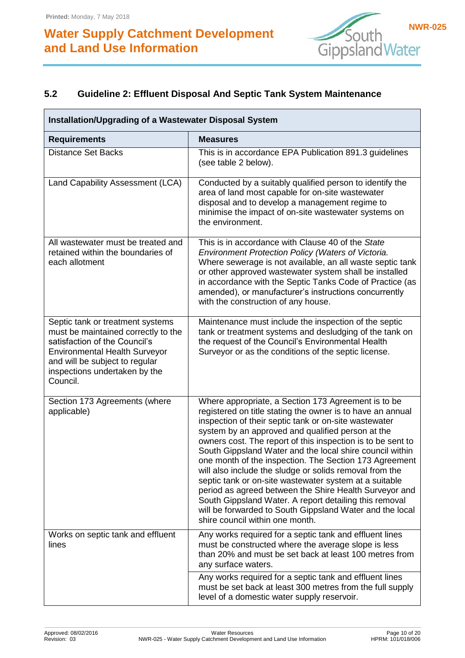![](_page_9_Picture_2.jpeg)

### <span id="page-9-0"></span>**5.2 Guideline 2: Effluent Disposal And Septic Tank System Maintenance**

| Installation/Upgrading of a Wastewater Disposal System                                                                                                                                                                          |                                                                                                                                                                                                                                                                                                                                                                                                                                                                                                                                                                                                                                                                                                                                                              |  |  |
|---------------------------------------------------------------------------------------------------------------------------------------------------------------------------------------------------------------------------------|--------------------------------------------------------------------------------------------------------------------------------------------------------------------------------------------------------------------------------------------------------------------------------------------------------------------------------------------------------------------------------------------------------------------------------------------------------------------------------------------------------------------------------------------------------------------------------------------------------------------------------------------------------------------------------------------------------------------------------------------------------------|--|--|
| <b>Requirements</b>                                                                                                                                                                                                             | <b>Measures</b>                                                                                                                                                                                                                                                                                                                                                                                                                                                                                                                                                                                                                                                                                                                                              |  |  |
| <b>Distance Set Backs</b>                                                                                                                                                                                                       | This is in accordance EPA Publication 891.3 guidelines<br>(see table 2 below).                                                                                                                                                                                                                                                                                                                                                                                                                                                                                                                                                                                                                                                                               |  |  |
| Land Capability Assessment (LCA)                                                                                                                                                                                                | Conducted by a suitably qualified person to identify the<br>area of land most capable for on-site wastewater<br>disposal and to develop a management regime to<br>minimise the impact of on-site wastewater systems on<br>the environment.                                                                                                                                                                                                                                                                                                                                                                                                                                                                                                                   |  |  |
| All wastewater must be treated and<br>retained within the boundaries of<br>each allotment                                                                                                                                       | This is in accordance with Clause 40 of the State<br>Environment Protection Policy (Waters of Victoria.<br>Where sewerage is not available, an all waste septic tank<br>or other approved wastewater system shall be installed<br>in accordance with the Septic Tanks Code of Practice (as<br>amended), or manufacturer's instructions concurrently<br>with the construction of any house.                                                                                                                                                                                                                                                                                                                                                                   |  |  |
| Septic tank or treatment systems<br>must be maintained correctly to the<br>satisfaction of the Council's<br><b>Environmental Health Surveyor</b><br>and will be subject to regular<br>inspections undertaken by the<br>Council. | Maintenance must include the inspection of the septic<br>tank or treatment systems and desludging of the tank on<br>the request of the Council's Environmental Health<br>Surveyor or as the conditions of the septic license.                                                                                                                                                                                                                                                                                                                                                                                                                                                                                                                                |  |  |
| Section 173 Agreements (where<br>applicable)                                                                                                                                                                                    | Where appropriate, a Section 173 Agreement is to be<br>registered on title stating the owner is to have an annual<br>inspection of their septic tank or on-site wastewater<br>system by an approved and qualified person at the<br>owners cost. The report of this inspection is to be sent to<br>South Gippsland Water and the local shire council within<br>one month of the inspection. The Section 173 Agreement<br>will also include the sludge or solids removal from the<br>septic tank or on-site wastewater system at a suitable<br>period as agreed between the Shire Health Surveyor and<br>South Gippsland Water. A report detailing this removal<br>will be forwarded to South Gippsland Water and the local<br>shire council within one month. |  |  |
| Works on septic tank and effluent<br>lines                                                                                                                                                                                      | Any works required for a septic tank and effluent lines<br>must be constructed where the average slope is less<br>than 20% and must be set back at least 100 metres from<br>any surface waters.                                                                                                                                                                                                                                                                                                                                                                                                                                                                                                                                                              |  |  |
|                                                                                                                                                                                                                                 | Any works required for a septic tank and effluent lines<br>must be set back at least 300 metres from the full supply<br>level of a domestic water supply reservoir.                                                                                                                                                                                                                                                                                                                                                                                                                                                                                                                                                                                          |  |  |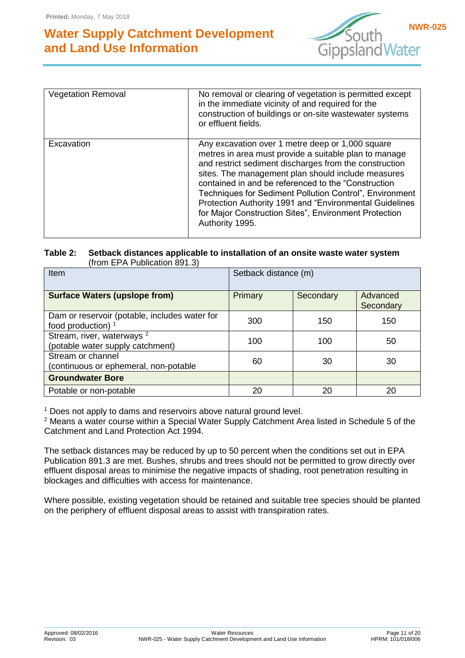![](_page_10_Picture_2.jpeg)

| <b>Vegetation Removal</b> | No removal or clearing of vegetation is permitted except<br>in the immediate vicinity of and required for the<br>construction of buildings or on-site wastewater systems<br>or effluent fields.                                                                                                                                                                                                                                                                                    |
|---------------------------|------------------------------------------------------------------------------------------------------------------------------------------------------------------------------------------------------------------------------------------------------------------------------------------------------------------------------------------------------------------------------------------------------------------------------------------------------------------------------------|
| Excavation                | Any excavation over 1 metre deep or 1,000 square<br>metres in area must provide a suitable plan to manage<br>and restrict sediment discharges from the construction<br>sites. The management plan should include measures<br>contained in and be referenced to the "Construction<br>Techniques for Sediment Pollution Control", Environment<br>Protection Authority 1991 and "Environmental Guidelines<br>for Major Construction Sites", Environment Protection<br>Authority 1995. |

#### **Table 2: Setback distances applicable to installation of an onsite waste water system** (from EPA Publication 891.3)

| Item                                                                           | Setback distance (m) |           |                       |
|--------------------------------------------------------------------------------|----------------------|-----------|-----------------------|
| <b>Surface Waters (upslope from)</b>                                           | Primary              | Secondary | Advanced<br>Secondary |
| Dam or reservoir (potable, includes water for<br>food production) <sup>1</sup> | 300                  | 150       | 150                   |
| Stream, river, waterways <sup>2</sup><br>(potable water supply catchment)      | 100                  | 100       | 50                    |
| Stream or channel<br>(continuous or ephemeral, non-potable                     | 60                   | 30        | 30                    |
| <b>Groundwater Bore</b>                                                        |                      |           |                       |
| Potable or non-potable                                                         | 20                   | 20        | 20                    |

 $1$  Does not apply to dams and reservoirs above natural ground level.

<sup>2</sup> Means a water course within a Special Water Supply Catchment Area listed in Schedule 5 of the Catchment and Land Protection Act 1994.

The setback distances may be reduced by up to 50 percent when the conditions set out in EPA Publication 891.3 are met. Bushes, shrubs and trees should not be permitted to grow directly over effluent disposal areas to minimise the negative impacts of shading, root penetration resulting in blockages and difficulties with access for maintenance.

Where possible, existing vegetation should be retained and suitable tree species should be planted on the periphery of effluent disposal areas to assist with transpiration rates.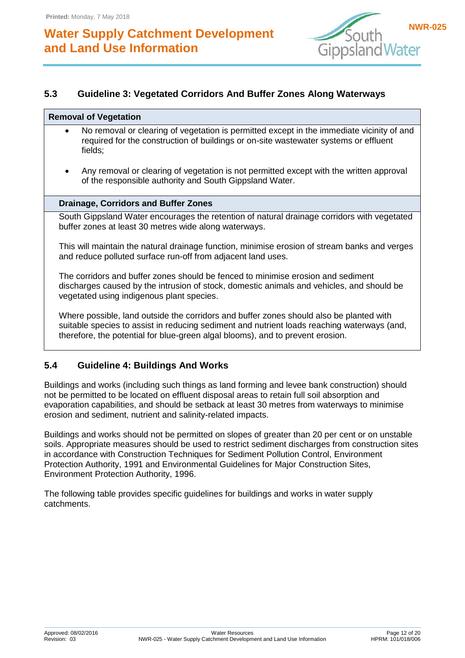![](_page_11_Picture_2.jpeg)

### <span id="page-11-0"></span>**5.3 Guideline 3: Vegetated Corridors And Buffer Zones Along Waterways**

#### **Removal of Vegetation**

- No removal or clearing of vegetation is permitted except in the immediate vicinity of and required for the construction of buildings or on-site wastewater systems or effluent fields;
- Any removal or clearing of vegetation is not permitted except with the written approval of the responsible authority and South Gippsland Water.

#### **Drainage, Corridors and Buffer Zones**

South Gippsland Water encourages the retention of natural drainage corridors with vegetated buffer zones at least 30 metres wide along waterways.

This will maintain the natural drainage function, minimise erosion of stream banks and verges and reduce polluted surface run-off from adjacent land uses.

The corridors and buffer zones should be fenced to minimise erosion and sediment discharges caused by the intrusion of stock, domestic animals and vehicles, and should be vegetated using indigenous plant species.

Where possible, land outside the corridors and buffer zones should also be planted with suitable species to assist in reducing sediment and nutrient loads reaching waterways (and, therefore, the potential for blue-green algal blooms), and to prevent erosion.

### <span id="page-11-1"></span>**5.4 Guideline 4: Buildings And Works**

Buildings and works (including such things as land forming and levee bank construction) should not be permitted to be located on effluent disposal areas to retain full soil absorption and evaporation capabilities, and should be setback at least 30 metres from waterways to minimise erosion and sediment, nutrient and salinity-related impacts.

Buildings and works should not be permitted on slopes of greater than 20 per cent or on unstable soils. Appropriate measures should be used to restrict sediment discharges from construction sites in accordance with Construction Techniques for Sediment Pollution Control, Environment Protection Authority, 1991 and Environmental Guidelines for Major Construction Sites, Environment Protection Authority, 1996.

The following table provides specific guidelines for buildings and works in water supply catchments.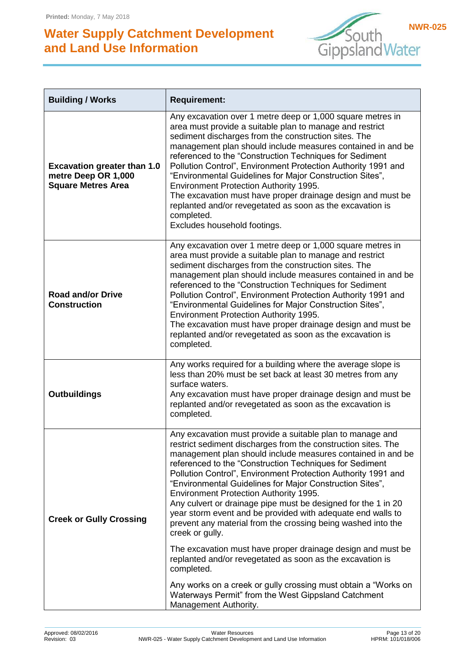![](_page_12_Picture_2.jpeg)

| <b>Building / Works</b>                                                                | <b>Requirement:</b>                                                                                                                                                                                                                                                                                                                                                                                                                                                                                                                                                                                                                                                                                                                                                                                                                                                                                                                        |  |
|----------------------------------------------------------------------------------------|--------------------------------------------------------------------------------------------------------------------------------------------------------------------------------------------------------------------------------------------------------------------------------------------------------------------------------------------------------------------------------------------------------------------------------------------------------------------------------------------------------------------------------------------------------------------------------------------------------------------------------------------------------------------------------------------------------------------------------------------------------------------------------------------------------------------------------------------------------------------------------------------------------------------------------------------|--|
| <b>Excavation greater than 1.0</b><br>metre Deep OR 1,000<br><b>Square Metres Area</b> | Any excavation over 1 metre deep or 1,000 square metres in<br>area must provide a suitable plan to manage and restrict<br>sediment discharges from the construction sites. The<br>management plan should include measures contained in and be<br>referenced to the "Construction Techniques for Sediment<br>Pollution Control", Environment Protection Authority 1991 and<br>"Environmental Guidelines for Major Construction Sites",<br>Environment Protection Authority 1995.<br>The excavation must have proper drainage design and must be<br>replanted and/or revegetated as soon as the excavation is<br>completed.<br>Excludes household footings.                                                                                                                                                                                                                                                                                  |  |
| <b>Road and/or Drive</b><br><b>Construction</b>                                        | Any excavation over 1 metre deep or 1,000 square metres in<br>area must provide a suitable plan to manage and restrict<br>sediment discharges from the construction sites. The<br>management plan should include measures contained in and be<br>referenced to the "Construction Techniques for Sediment<br>Pollution Control", Environment Protection Authority 1991 and<br>"Environmental Guidelines for Major Construction Sites",<br>Environment Protection Authority 1995.<br>The excavation must have proper drainage design and must be<br>replanted and/or revegetated as soon as the excavation is<br>completed.                                                                                                                                                                                                                                                                                                                  |  |
| <b>Outbuildings</b>                                                                    | Any works required for a building where the average slope is<br>less than 20% must be set back at least 30 metres from any<br>surface waters.<br>Any excavation must have proper drainage design and must be<br>replanted and/or revegetated as soon as the excavation is<br>completed.                                                                                                                                                                                                                                                                                                                                                                                                                                                                                                                                                                                                                                                    |  |
| <b>Creek or Gully Crossing</b>                                                         | Any excavation must provide a suitable plan to manage and<br>restrict sediment discharges from the construction sites. The<br>management plan should include measures contained in and be<br>referenced to the "Construction Techniques for Sediment<br>Pollution Control", Environment Protection Authority 1991 and<br>"Environmental Guidelines for Major Construction Sites",<br>Environment Protection Authority 1995.<br>Any culvert or drainage pipe must be designed for the 1 in 20<br>year storm event and be provided with adequate end walls to<br>prevent any material from the crossing being washed into the<br>creek or gully.<br>The excavation must have proper drainage design and must be<br>replanted and/or revegetated as soon as the excavation is<br>completed.<br>Any works on a creek or gully crossing must obtain a "Works on<br>Waterways Permit" from the West Gippsland Catchment<br>Management Authority. |  |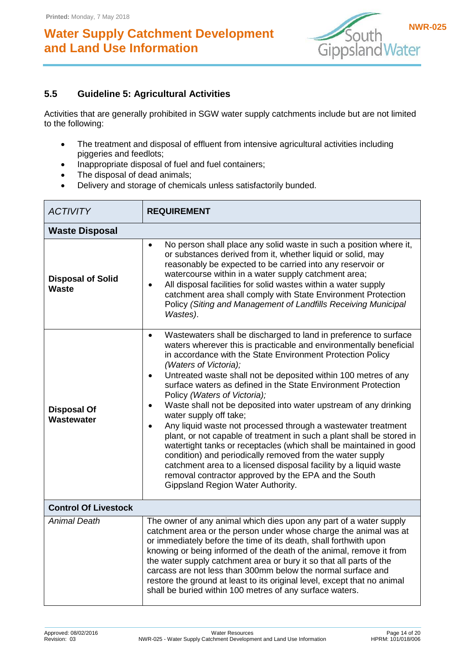![](_page_13_Picture_2.jpeg)

### <span id="page-13-0"></span>**5.5 Guideline 5: Agricultural Activities**

Activities that are generally prohibited in SGW water supply catchments include but are not limited to the following:

- The treatment and disposal of effluent from intensive agricultural activities including piggeries and feedlots;
- Inappropriate disposal of fuel and fuel containers;
- The disposal of dead animals;
- Delivery and storage of chemicals unless satisfactorily bunded.

| <b>ACTIVITY</b>                   | <b>REQUIREMENT</b>                                                                                                                                                                                                                                                                                                                                                                                                                                                                                                                                                                                                                                                                                                                                                                                                                                                                                                                                                                                |  |  |  |  |
|-----------------------------------|---------------------------------------------------------------------------------------------------------------------------------------------------------------------------------------------------------------------------------------------------------------------------------------------------------------------------------------------------------------------------------------------------------------------------------------------------------------------------------------------------------------------------------------------------------------------------------------------------------------------------------------------------------------------------------------------------------------------------------------------------------------------------------------------------------------------------------------------------------------------------------------------------------------------------------------------------------------------------------------------------|--|--|--|--|
| <b>Waste Disposal</b>             |                                                                                                                                                                                                                                                                                                                                                                                                                                                                                                                                                                                                                                                                                                                                                                                                                                                                                                                                                                                                   |  |  |  |  |
| <b>Disposal of Solid</b><br>Waste | No person shall place any solid waste in such a position where it,<br>$\bullet$<br>or substances derived from it, whether liquid or solid, may<br>reasonably be expected to be carried into any reservoir or<br>watercourse within in a water supply catchment area;<br>All disposal facilities for solid wastes within a water supply<br>$\bullet$<br>catchment area shall comply with State Environment Protection<br>Policy (Siting and Management of Landfills Receiving Municipal<br>Wastes).                                                                                                                                                                                                                                                                                                                                                                                                                                                                                                |  |  |  |  |
| <b>Disposal Of</b><br>Wastewater  | Wastewaters shall be discharged to land in preference to surface<br>$\bullet$<br>waters wherever this is practicable and environmentally beneficial<br>in accordance with the State Environment Protection Policy<br>(Waters of Victoria);<br>Untreated waste shall not be deposited within 100 metres of any<br>$\bullet$<br>surface waters as defined in the State Environment Protection<br>Policy (Waters of Victoria);<br>Waste shall not be deposited into water upstream of any drinking<br>$\bullet$<br>water supply off take;<br>Any liquid waste not processed through a wastewater treatment<br>$\bullet$<br>plant, or not capable of treatment in such a plant shall be stored in<br>watertight tanks or receptacles (which shall be maintained in good<br>condition) and periodically removed from the water supply<br>catchment area to a licensed disposal facility by a liquid waste<br>removal contractor approved by the EPA and the South<br>Gippsland Region Water Authority. |  |  |  |  |
| <b>Control Of Livestock</b>       |                                                                                                                                                                                                                                                                                                                                                                                                                                                                                                                                                                                                                                                                                                                                                                                                                                                                                                                                                                                                   |  |  |  |  |
| <b>Animal Death</b>               | The owner of any animal which dies upon any part of a water supply<br>catchment area or the person under whose charge the animal was at<br>or immediately before the time of its death, shall forthwith upon<br>knowing or being informed of the death of the animal, remove it from<br>the water supply catchment area or bury it so that all parts of the<br>carcass are not less than 300mm below the normal surface and<br>restore the ground at least to its original level, except that no animal<br>shall be buried within 100 metres of any surface waters.                                                                                                                                                                                                                                                                                                                                                                                                                               |  |  |  |  |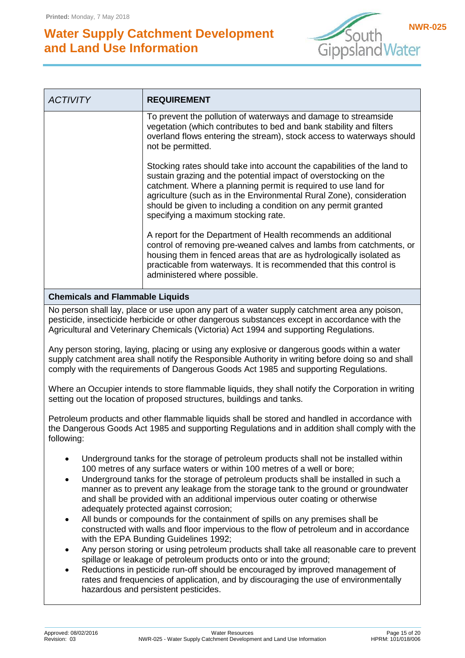![](_page_14_Picture_2.jpeg)

| <b>ACTIVITY</b>                                                                                                                                                                                                                                                                                                                                                                                                                                                                                         | <b>REQUIREMENT</b>                                                                                                                                                                                                                                                                                                                                                                            |  |  |
|---------------------------------------------------------------------------------------------------------------------------------------------------------------------------------------------------------------------------------------------------------------------------------------------------------------------------------------------------------------------------------------------------------------------------------------------------------------------------------------------------------|-----------------------------------------------------------------------------------------------------------------------------------------------------------------------------------------------------------------------------------------------------------------------------------------------------------------------------------------------------------------------------------------------|--|--|
|                                                                                                                                                                                                                                                                                                                                                                                                                                                                                                         | To prevent the pollution of waterways and damage to streamside<br>vegetation (which contributes to bed and bank stability and filters<br>overland flows entering the stream), stock access to waterways should<br>not be permitted.                                                                                                                                                           |  |  |
|                                                                                                                                                                                                                                                                                                                                                                                                                                                                                                         | Stocking rates should take into account the capabilities of the land to<br>sustain grazing and the potential impact of overstocking on the<br>catchment. Where a planning permit is required to use land for<br>agriculture (such as in the Environmental Rural Zone), consideration<br>should be given to including a condition on any permit granted<br>specifying a maximum stocking rate. |  |  |
| A report for the Department of Health recommends an additional<br>control of removing pre-weaned calves and lambs from catchments, or<br>housing them in fenced areas that are as hydrologically isolated as<br>practicable from waterways. It is recommended that this control is<br>administered where possible.                                                                                                                                                                                      |                                                                                                                                                                                                                                                                                                                                                                                               |  |  |
| <b>Chemicals and Flammable Liquids</b>                                                                                                                                                                                                                                                                                                                                                                                                                                                                  |                                                                                                                                                                                                                                                                                                                                                                                               |  |  |
| No person shall lay, place or use upon any part of a water supply catchment area any poison,<br>pesticide, insecticide herbicide or other dangerous substances except in accordance with the<br>Agricultural and Veterinary Chemicals (Victoria) Act 1994 and supporting Regulations.                                                                                                                                                                                                                   |                                                                                                                                                                                                                                                                                                                                                                                               |  |  |
| Any person storing, laying, placing or using any explosive or dangerous goods within a water<br>supply catchment area shall notify the Responsible Authority in writing before doing so and shall<br>comply with the requirements of Dangerous Goods Act 1985 and supporting Regulations.                                                                                                                                                                                                               |                                                                                                                                                                                                                                                                                                                                                                                               |  |  |
|                                                                                                                                                                                                                                                                                                                                                                                                                                                                                                         | Where an Occupier intends to store flammable liquids, they shall notify the Corporation in writing<br>setting out the location of proposed structures, buildings and tanks.                                                                                                                                                                                                                   |  |  |
| Petroleum products and other flammable liquids shall be stored and handled in accordance with<br>the Dangerous Goods Act 1985 and supporting Regulations and in addition shall comply with the<br>following:                                                                                                                                                                                                                                                                                            |                                                                                                                                                                                                                                                                                                                                                                                               |  |  |
| Underground tanks for the storage of petroleum products shall not be installed within<br>$\bullet$<br>100 metres of any surface waters or within 100 metres of a well or bore;<br>Underground tanks for the storage of petroleum products shall be installed in such a<br>$\bullet$<br>manner as to prevent any leakage from the storage tank to the ground or groundwater<br>and shall be provided with an additional impervious outer coating or otherwise<br>adequately protected against corrosion; |                                                                                                                                                                                                                                                                                                                                                                                               |  |  |
|                                                                                                                                                                                                                                                                                                                                                                                                                                                                                                         | All bunds or compounds for the containment of spills on any premises shall be<br>٠<br>constructed with walls and floor impervious to the flow of petroleum and in accordance<br>with the EPA Bunding Guidelines 1992;                                                                                                                                                                         |  |  |
| ٠<br>$\bullet$                                                                                                                                                                                                                                                                                                                                                                                                                                                                                          | Any person storing or using petroleum products shall take all reasonable care to prevent<br>spillage or leakage of petroleum products onto or into the ground;<br>Reductions in pesticide run-off should be encouraged by improved management of                                                                                                                                              |  |  |
| rates and frequencies of application, and by discouraging the use of environmentally<br>hazardous and persistent pesticides.                                                                                                                                                                                                                                                                                                                                                                            |                                                                                                                                                                                                                                                                                                                                                                                               |  |  |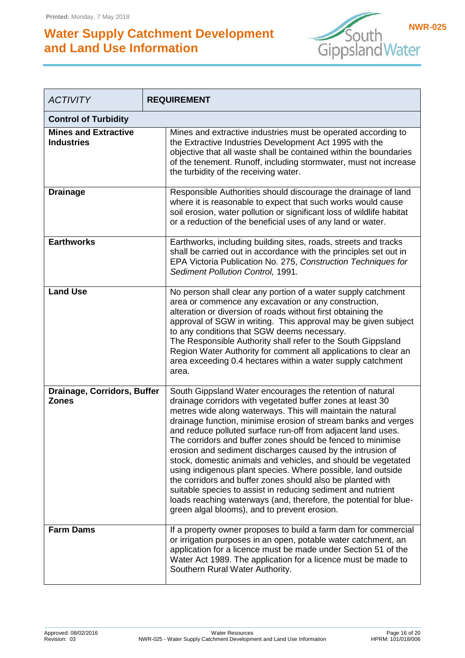![](_page_15_Picture_2.jpeg)

| <b>ACTIVITY</b>                                  | <b>REQUIREMENT</b>                                                                                                                                                                                                                                                                                                                                                                                                                                                                                                                                                                                                                                                                                                                                                                                                                        |  |  |  |
|--------------------------------------------------|-------------------------------------------------------------------------------------------------------------------------------------------------------------------------------------------------------------------------------------------------------------------------------------------------------------------------------------------------------------------------------------------------------------------------------------------------------------------------------------------------------------------------------------------------------------------------------------------------------------------------------------------------------------------------------------------------------------------------------------------------------------------------------------------------------------------------------------------|--|--|--|
| <b>Control of Turbidity</b>                      |                                                                                                                                                                                                                                                                                                                                                                                                                                                                                                                                                                                                                                                                                                                                                                                                                                           |  |  |  |
| <b>Mines and Extractive</b><br><b>Industries</b> | Mines and extractive industries must be operated according to<br>the Extractive Industries Development Act 1995 with the<br>objective that all waste shall be contained within the boundaries<br>of the tenement. Runoff, including stormwater, must not increase<br>the turbidity of the receiving water.                                                                                                                                                                                                                                                                                                                                                                                                                                                                                                                                |  |  |  |
| <b>Drainage</b>                                  | Responsible Authorities should discourage the drainage of land<br>where it is reasonable to expect that such works would cause<br>soil erosion, water pollution or significant loss of wildlife habitat<br>or a reduction of the beneficial uses of any land or water.                                                                                                                                                                                                                                                                                                                                                                                                                                                                                                                                                                    |  |  |  |
| <b>Earthworks</b>                                | Earthworks, including building sites, roads, streets and tracks<br>shall be carried out in accordance with the principles set out in<br>EPA Victoria Publication No. 275, Construction Techniques for<br>Sediment Pollution Control, 1991.                                                                                                                                                                                                                                                                                                                                                                                                                                                                                                                                                                                                |  |  |  |
| <b>Land Use</b>                                  | No person shall clear any portion of a water supply catchment<br>area or commence any excavation or any construction,<br>alteration or diversion of roads without first obtaining the<br>approval of SGW in writing. This approval may be given subject<br>to any conditions that SGW deems necessary.<br>The Responsible Authority shall refer to the South Gippsland<br>Region Water Authority for comment all applications to clear an<br>area exceeding 0.4 hectares within a water supply catchment<br>area.                                                                                                                                                                                                                                                                                                                         |  |  |  |
| Drainage, Corridors, Buffer<br><b>Zones</b>      | South Gippsland Water encourages the retention of natural<br>drainage corridors with vegetated buffer zones at least 30<br>metres wide along waterways. This will maintain the natural<br>drainage function, minimise erosion of stream banks and verges<br>and reduce polluted surface run-off from adjacent land uses.<br>The corridors and buffer zones should be fenced to minimise<br>erosion and sediment discharges caused by the intrusion of<br>stock, domestic animals and vehicles, and should be vegetated<br>using indigenous plant species. Where possible, land outside<br>the corridors and buffer zones should also be planted with<br>suitable species to assist in reducing sediment and nutrient<br>loads reaching waterways (and, therefore, the potential for blue-<br>green algal blooms), and to prevent erosion. |  |  |  |
| <b>Farm Dams</b>                                 | If a property owner proposes to build a farm dam for commercial<br>or irrigation purposes in an open, potable water catchment, an<br>application for a licence must be made under Section 51 of the<br>Water Act 1989. The application for a licence must be made to<br>Southern Rural Water Authority.                                                                                                                                                                                                                                                                                                                                                                                                                                                                                                                                   |  |  |  |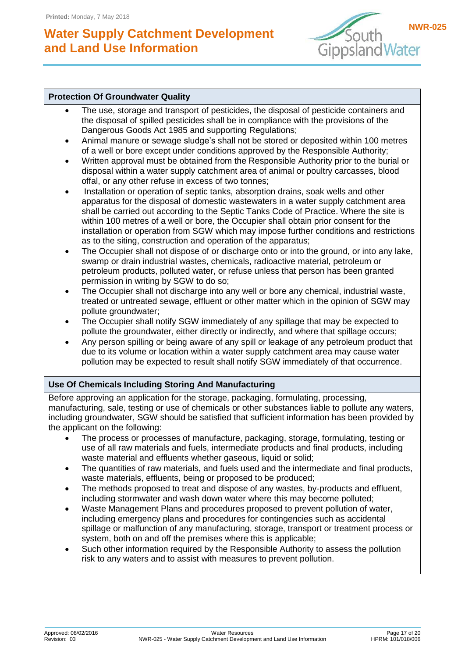![](_page_16_Picture_2.jpeg)

#### **Protection Of Groundwater Quality**

- The use, storage and transport of pesticides, the disposal of pesticide containers and the disposal of spilled pesticides shall be in compliance with the provisions of the Dangerous Goods Act 1985 and supporting Regulations;
- Animal manure or sewage sludge's shall not be stored or deposited within 100 metres of a well or bore except under conditions approved by the Responsible Authority;
- Written approval must be obtained from the Responsible Authority prior to the burial or disposal within a water supply catchment area of animal or poultry carcasses, blood offal, or any other refuse in excess of two tonnes;
- Installation or operation of septic tanks, absorption drains, soak wells and other apparatus for the disposal of domestic wastewaters in a water supply catchment area shall be carried out according to the Septic Tanks Code of Practice. Where the site is within 100 metres of a well or bore, the Occupier shall obtain prior consent for the installation or operation from SGW which may impose further conditions and restrictions as to the siting, construction and operation of the apparatus;
- The Occupier shall not dispose of or discharge onto or into the ground, or into any lake, swamp or drain industrial wastes, chemicals, radioactive material, petroleum or petroleum products, polluted water, or refuse unless that person has been granted permission in writing by SGW to do so;
- The Occupier shall not discharge into any well or bore any chemical, industrial waste, treated or untreated sewage, effluent or other matter which in the opinion of SGW may pollute groundwater;
- The Occupier shall notify SGW immediately of any spillage that may be expected to pollute the groundwater, either directly or indirectly, and where that spillage occurs;
- Any person spilling or being aware of any spill or leakage of any petroleum product that due to its volume or location within a water supply catchment area may cause water pollution may be expected to result shall notify SGW immediately of that occurrence.

#### **Use Of Chemicals Including Storing And Manufacturing**

Before approving an application for the storage, packaging, formulating, processing, manufacturing, sale, testing or use of chemicals or other substances liable to pollute any waters, including groundwater, SGW should be satisfied that sufficient information has been provided by the applicant on the following:

- The process or processes of manufacture, packaging, storage, formulating, testing or use of all raw materials and fuels, intermediate products and final products, including waste material and effluents whether gaseous, liquid or solid;
- The quantities of raw materials, and fuels used and the intermediate and final products, waste materials, effluents, being or proposed to be produced;
- The methods proposed to treat and dispose of any wastes, by-products and effluent, including stormwater and wash down water where this may become polluted;
- Waste Management Plans and procedures proposed to prevent pollution of water, including emergency plans and procedures for contingencies such as accidental spillage or malfunction of any manufacturing, storage, transport or treatment process or system, both on and off the premises where this is applicable;
- Such other information required by the Responsible Authority to assess the pollution risk to any waters and to assist with measures to prevent pollution.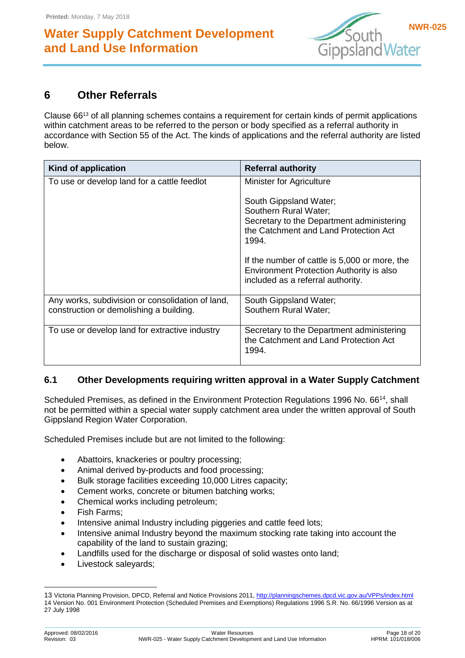![](_page_17_Picture_2.jpeg)

### <span id="page-17-0"></span>**6 Other Referrals**

Clause 66<sup>13</sup> of all planning schemes contains a requirement for certain kinds of permit applications within catchment areas to be referred to the person or body specified as a referral authority in accordance with Section 55 of the Act. The kinds of applications and the referral authority are listed below.

| Kind of application                                                                         | <b>Referral authority</b>                                                                                                                                                                                                                                                        |
|---------------------------------------------------------------------------------------------|----------------------------------------------------------------------------------------------------------------------------------------------------------------------------------------------------------------------------------------------------------------------------------|
| To use or develop land for a cattle feedlot                                                 | Minister for Agriculture                                                                                                                                                                                                                                                         |
|                                                                                             | South Gippsland Water;<br>Southern Rural Water;<br>Secretary to the Department administering<br>the Catchment and Land Protection Act<br>1994.<br>If the number of cattle is 5,000 or more, the<br>Environment Protection Authority is also<br>included as a referral authority. |
| Any works, subdivision or consolidation of land,<br>construction or demolishing a building. | South Gippsland Water;<br>Southern Rural Water;                                                                                                                                                                                                                                  |
| To use or develop land for extractive industry                                              | Secretary to the Department administering<br>the Catchment and Land Protection Act<br>1994.                                                                                                                                                                                      |

#### <span id="page-17-1"></span>**6.1 Other Developments requiring written approval in a Water Supply Catchment**

Scheduled Premises, as defined in the Environment Protection Regulations 1996 No. 66<sup>14</sup>, shall not be permitted within a special water supply catchment area under the written approval of South Gippsland Region Water Corporation.

Scheduled Premises include but are not limited to the following:

- Abattoirs, knackeries or poultry processing;
- Animal derived by-products and food processing;
- Bulk storage facilities exceeding 10,000 Litres capacity;
- Cement works, concrete or bitumen batching works;
- Chemical works including petroleum;
- Fish Farms;
- Intensive animal Industry including piggeries and cattle feed lots;
- Intensive animal Industry beyond the maximum stocking rate taking into account the capability of the land to sustain grazing;
- Landfills used for the discharge or disposal of solid wastes onto land;
- Livestock saleyards;

-

<sup>13</sup> Victoria Planning Provision, DPCD, Referral and Notice Provisions 2011[, http://planningschemes.dpcd.vic.gov.au/VPPs/index.html](http://planningschemes.dpcd.vic.gov.au/VPPs/index.html) 14 Version No. 001 Environment Protection (Scheduled Premises and Exemptions) Regulations 1996 S.R. No. 66/1996 Version as at 27 July 1998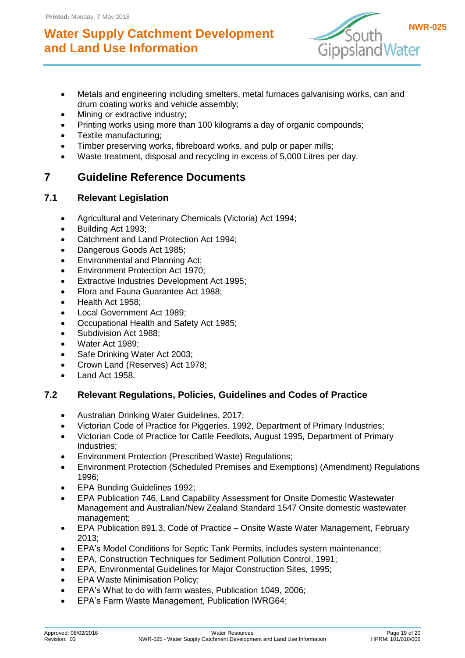![](_page_18_Picture_2.jpeg)

- Metals and engineering including smelters, metal furnaces galvanising works, can and drum coating works and vehicle assembly;
- Mining or extractive industry;
- Printing works using more than 100 kilograms a day of organic compounds;
- Textile manufacturing;
- Timber preserving works, fibreboard works, and pulp or paper mills;
- Waste treatment, disposal and recycling in excess of 5,000 Litres per day.

## <span id="page-18-0"></span>**7 Guideline Reference Documents**

### <span id="page-18-1"></span>**7.1 Relevant Legislation**

- Agricultural and Veterinary Chemicals (Victoria) Act 1994;
- Building Act 1993;
- Catchment and Land Protection Act 1994;
- Dangerous Goods Act 1985;
- **Environmental and Planning Act;**
- **Environment Protection Act 1970;**
- Extractive Industries Development Act 1995;
- Flora and Fauna Guarantee Act 1988;
- Health Act 1958;
- Local Government Act 1989;
- Occupational Health and Safety Act 1985;
- Subdivision Act 1988;
- Water Act 1989;
- Safe Drinking Water Act 2003;
- Crown Land (Reserves) Act 1978;
- Land Act 1958.

### <span id="page-18-2"></span>**7.2 Relevant Regulations, Policies, Guidelines and Codes of Practice**

- Australian Drinking Water Guidelines, 2017;
- Victorian Code of Practice for Piggeries. 1992, Department of Primary Industries;
- Victorian Code of Practice for Cattle Feedlots, August 1995, Department of Primary Industries;
- Environment Protection (Prescribed Waste) Regulations;
- Environment Protection (Scheduled Premises and Exemptions) (Amendment) Regulations 1996;
- EPA Bunding Guidelines 1992;
- EPA Publication 746, Land Capability Assessment for Onsite Domestic Wastewater Management and Australian/New Zealand Standard 1547 Onsite domestic wastewater management;
- EPA Publication 891.3, Code of Practice Onsite Waste Water Management, February 2013;
- EPA's Model Conditions for Septic Tank Permits, includes system maintenance;
- EPA, Construction Techniques for Sediment Pollution Control, 1991;
- EPA, Environmental Guidelines for Major Construction Sites, 1995;
- EPA Waste Minimisation Policy;
- EPA's What to do with farm wastes, Publication 1049, 2006;
- EPA's Farm Waste Management, Publication IWRG64;